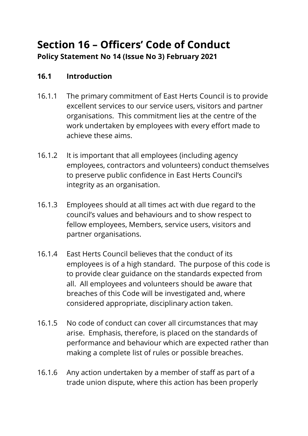# **Section 16 – Officers' Code of Conduct Policy Statement No 14 (Issue No 3) February 2021**

#### **16.1 Introduction**

- 16.1.1 The primary commitment of East Herts Council is to provide excellent services to our service users, visitors and partner organisations. This commitment lies at the centre of the work undertaken by employees with every effort made to achieve these aims.
- 16.1.2 It is important that all employees (including agency employees, contractors and volunteers) conduct themselves to preserve public confidence in East Herts Council's integrity as an organisation.
- 16.1.3 Employees should at all times act with due regard to the council's values and behaviours and to show respect to fellow employees, Members, service users, visitors and partner organisations.
- 16.1.4 East Herts Council believes that the conduct of its employees is of a high standard. The purpose of this code is to provide clear guidance on the standards expected from all. All employees and volunteers should be aware that breaches of this Code will be investigated and, where considered appropriate, disciplinary action taken.
- 16.1.5 No code of conduct can cover all circumstances that may arise. Emphasis, therefore, is placed on the standards of performance and behaviour which are expected rather than making a complete list of rules or possible breaches.
- 16.1.6 Any action undertaken by a member of staff as part of a trade union dispute, where this action has been properly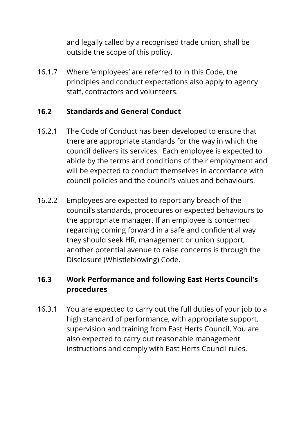and legally called by a recognised trade union, shall be outside the scope of this policy.

16.1.7 Where 'employees' are referred to in this Code, the principles and conduct expectations also apply to agency staff, contractors and volunteers.

#### **16.2 Standards and General Conduct**

- 16.2.1 The Code of Conduct has been developed to ensure that there are appropriate standards for the way in which the council delivers its services. Each employee is expected to abide by the terms and conditions of their employment and will be expected to conduct themselves in accordance with council policies and the council's values and behaviours.
- 16.2.2 Employees are expected to report any breach of the council's standards, procedures or expected behaviours to the appropriate manager. If an employee is concerned regarding coming forward in a safe and confidential way they should seek HR, management or union support, another potential avenue to raise concerns is through the Disclosure (Whistleblowing) Code.

## **16.3 Work Performance and following East Herts Council's procedures**

16.3.1 You are expected to carry out the full duties of your job to a high standard of performance, with appropriate support, supervision and training from East Herts Council. You are also expected to carry out reasonable management instructions and comply with East Herts Council rules.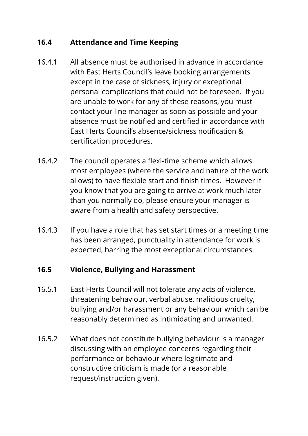#### **16.4 Attendance and Time Keeping**

- 16.4.1 All absence must be authorised in advance in accordance with East Herts Council's leave booking arrangements except in the case of sickness, injury or exceptional personal complications that could not be foreseen. If you are unable to work for any of these reasons, you must contact your line manager as soon as possible and your absence must be notified and certified in accordance with East Herts Council's absence/sickness notification & certification procedures.
- 16.4.2 The council operates a flexi-time scheme which allows most employees (where the service and nature of the work allows) to have flexible start and finish times. However if you know that you are going to arrive at work much later than you normally do, please ensure your manager is aware from a health and safety perspective.
- 16.4.3 If you have a role that has set start times or a meeting time has been arranged, punctuality in attendance for work is expected, barring the most exceptional circumstances.

#### **16.5 Violence, Bullying and Harassment**

- 16.5.1 East Herts Council will not tolerate any acts of violence, threatening behaviour, verbal abuse, malicious cruelty, bullying and/or harassment or any behaviour which can be reasonably determined as intimidating and unwanted.
- 16.5.2 What does not constitute bullying behaviour is a manager discussing with an employee concerns regarding their performance or behaviour where legitimate and constructive criticism is made (or a reasonable request/instruction given).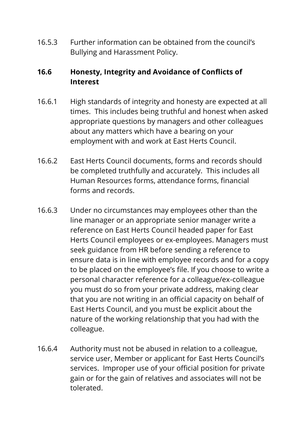16.5.3 Further information can be obtained from the council's Bullying and Harassment Policy.

## **16.6 Honesty, Integrity and Avoidance of Conflicts of Interest**

- 16.6.1 High standards of integrity and honesty are expected at all times. This includes being truthful and honest when asked appropriate questions by managers and other colleagues about any matters which have a bearing on your employment with and work at East Herts Council.
- 16.6.2 East Herts Council documents, forms and records should be completed truthfully and accurately. This includes all Human Resources forms, attendance forms, financial forms and records.
- 16.6.3 Under no circumstances may employees other than the line manager or an appropriate senior manager write a reference on East Herts Council headed paper for East Herts Council employees or ex-employees. Managers must seek guidance from HR before sending a reference to ensure data is in line with employee records and for a copy to be placed on the employee's file. If you choose to write a personal character reference for a colleague/ex-colleague you must do so from your private address, making clear that you are not writing in an official capacity on behalf of East Herts Council, and you must be explicit about the nature of the working relationship that you had with the colleague.
- 16.6.4 Authority must not be abused in relation to a colleague, service user, Member or applicant for East Herts Council's services. Improper use of your official position for private gain or for the gain of relatives and associates will not be tolerated.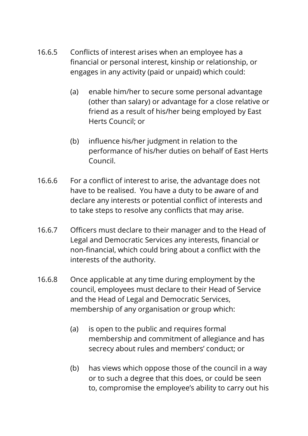- 16.6.5 Conflicts of interest arises when an employee has a financial or personal interest, kinship or relationship, or engages in any activity (paid or unpaid) which could:
	- (a) enable him/her to secure some personal advantage (other than salary) or advantage for a close relative or friend as a result of his/her being employed by East Herts Council; or
	- (b) influence his/her judgment in relation to the performance of his/her duties on behalf of East Herts Council.
- 16.6.6 For a conflict of interest to arise, the advantage does not have to be realised. You have a duty to be aware of and declare any interests or potential conflict of interests and to take steps to resolve any conflicts that may arise.
- 16.6.7 Officers must declare to their manager and to the Head of Legal and Democratic Services any interests, financial or non-financial, which could bring about a conflict with the interests of the authority.
- 16.6.8 Once applicable at any time during employment by the council, employees must declare to their Head of Service and the Head of Legal and Democratic Services, membership of any organisation or group which:
	- (a) is open to the public and requires formal membership and commitment of allegiance and has secrecy about rules and members' conduct; or
	- (b) has views which oppose those of the council in a way or to such a degree that this does, or could be seen to, compromise the employee's ability to carry out his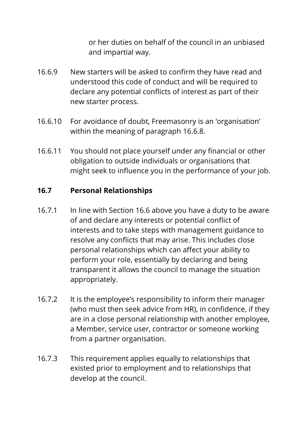or her duties on behalf of the council in an unbiased and impartial way.

- 16.6.9 New starters will be asked to confirm they have read and understood this code of conduct and will be required to declare any potential conflicts of interest as part of their new starter process.
- 16.6.10 For avoidance of doubt, Freemasonry is an 'organisation' within the meaning of paragraph 16.6.8.
- 16.6.11 You should not place yourself under any financial or other obligation to outside individuals or organisations that might seek to influence you in the performance of your job.

#### **16.7 Personal Relationships**

- 16.7.1 In line with Section 16.6 above you have a duty to be aware of and declare any interests or potential conflict of interests and to take steps with management guidance to resolve any conflicts that may arise. This includes close personal relationships which can affect your ability to perform your role, essentially by declaring and being transparent it allows the council to manage the situation appropriately.
- 16.7.2 It is the employee's responsibility to inform their manager (who must then seek advice from HR), in confidence, if they are in a close personal relationship with another employee, a Member, service user, contractor or someone working from a partner organisation.
- 16.7.3 This requirement applies equally to relationships that existed prior to employment and to relationships that develop at the council.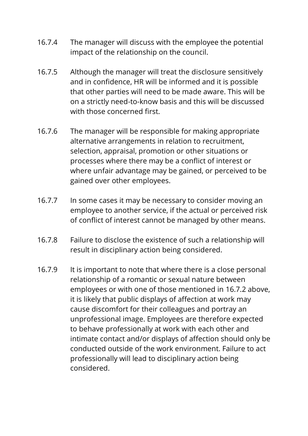- 16.7.4 The manager will discuss with the employee the potential impact of the relationship on the council.
- 16.7.5 Although the manager will treat the disclosure sensitively and in confidence, HR will be informed and it is possible that other parties will need to be made aware. This will be on a strictly need-to-know basis and this will be discussed with those concerned first.
- 16.7.6 The manager will be responsible for making appropriate alternative arrangements in relation to recruitment, selection, appraisal, promotion or other situations or processes where there may be a conflict of interest or where unfair advantage may be gained, or perceived to be gained over other employees.
- 16.7.7 In some cases it may be necessary to consider moving an employee to another service, if the actual or perceived risk of conflict of interest cannot be managed by other means.
- 16.7.8 Failure to disclose the existence of such a relationship will result in disciplinary action being considered.
- 16.7.9 It is important to note that where there is a close personal relationship of a romantic or sexual nature between employees or with one of those mentioned in 16.7.2 above, it is likely that public displays of affection at work may cause discomfort for their colleagues and portray an unprofessional image. Employees are therefore expected to behave professionally at work with each other and intimate contact and/or displays of affection should only be conducted outside of the work environment. Failure to act professionally will lead to disciplinary action being considered.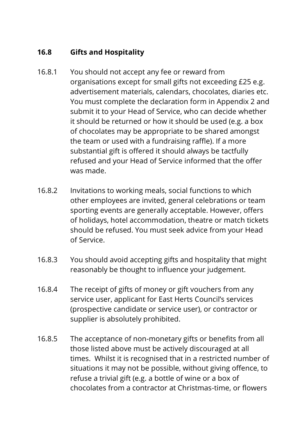# **16.8 Gifts and Hospitality**

- 16.8.1 You should not accept any fee or reward from organisations except for small gifts not exceeding £25 e.g. advertisement materials, calendars, chocolates, diaries etc. You must complete the declaration form in Appendix 2 and submit it to your Head of Service, who can decide whether it should be returned or how it should be used (e.g. a box of chocolates may be appropriate to be shared amongst the team or used with a fundraising raffle). If a more substantial gift is offered it should always be tactfully refused and your Head of Service informed that the offer was made.
- 16.8.2 Invitations to working meals, social functions to which other employees are invited, general celebrations or team sporting events are generally acceptable. However, offers of holidays, hotel accommodation, theatre or match tickets should be refused. You must seek advice from your Head of Service.
- 16.8.3 You should avoid accepting gifts and hospitality that might reasonably be thought to influence your judgement.
- 16.8.4 The receipt of gifts of money or gift vouchers from any service user, applicant for East Herts Council's services (prospective candidate or service user), or contractor or supplier is absolutely prohibited.
- 16.8.5 The acceptance of non-monetary gifts or benefits from all those listed above must be actively discouraged at all times. Whilst it is recognised that in a restricted number of situations it may not be possible, without giving offence, to refuse a trivial gift (e.g. a bottle of wine or a box of chocolates from a contractor at Christmas-time, or flowers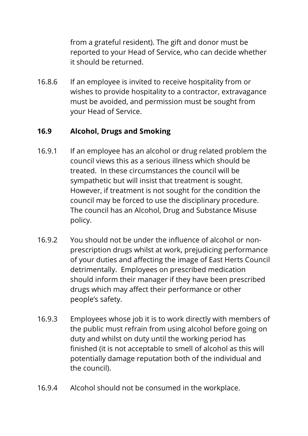from a grateful resident). The gift and donor must be reported to your Head of Service, who can decide whether it should be returned.

16.8.6 If an employee is invited to receive hospitality from or wishes to provide hospitality to a contractor, extravagance must be avoided, and permission must be sought from your Head of Service.

## **16.9 Alcohol, Drugs and Smoking**

- 16.9.1 If an employee has an alcohol or drug related problem the council views this as a serious illness which should be treated. In these circumstances the council will be sympathetic but will insist that treatment is sought. However, if treatment is not sought for the condition the council may be forced to use the disciplinary procedure. The council has an Alcohol, Drug and Substance Misuse policy.
- 16.9.2 You should not be under the influence of alcohol or nonprescription drugs whilst at work, prejudicing performance of your duties and affecting the image of East Herts Council detrimentally. Employees on prescribed medication should inform their manager if they have been prescribed drugs which may affect their performance or other people's safety.
- 16.9.3 Employees whose job it is to work directly with members of the public must refrain from using alcohol before going on duty and whilst on duty until the working period has finished (it is not acceptable to smell of alcohol as this will potentially damage reputation both of the individual and the council).
- 16.9.4 Alcohol should not be consumed in the workplace.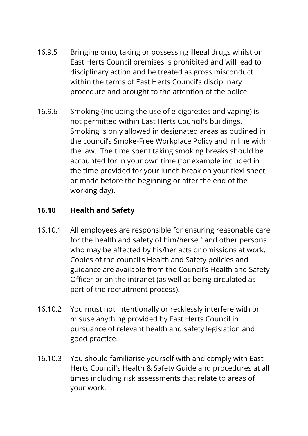- 16.9.5 Bringing onto, taking or possessing illegal drugs whilst on East Herts Council premises is prohibited and will lead to disciplinary action and be treated as gross misconduct within the terms of East Herts Council's disciplinary procedure and brought to the attention of the police.
- 16.9.6 Smoking (including the use of e-cigarettes and vaping) is not permitted within East Herts Council's buildings. Smoking is only allowed in designated areas as outlined in the council's Smoke-Free Workplace Policy and in line with the law. The time spent taking smoking breaks should be accounted for in your own time (for example included in the time provided for your lunch break on your flexi sheet, or made before the beginning or after the end of the working day).

# **16.10 Health and Safety**

- 16.10.1 All employees are responsible for ensuring reasonable care for the health and safety of him/herself and other persons who may be affected by his/her acts or omissions at work. Copies of the council's Health and Safety policies and guidance are available from the Council's Health and Safety Officer or on the intranet (as well as being circulated as part of the recruitment process).
- 16.10.2 You must not intentionally or recklessly interfere with or misuse anything provided by East Herts Council in pursuance of relevant health and safety legislation and good practice.
- 16.10.3 You should familiarise yourself with and comply with East Herts Council's Health & Safety Guide and procedures at all times including risk assessments that relate to areas of your work.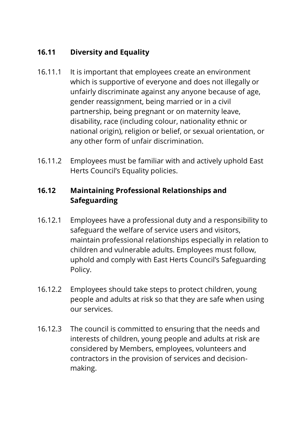# **16.11 Diversity and Equality**

- 16.11.1 It is important that employees create an environment which is supportive of everyone and does not illegally or unfairly discriminate against any anyone because of age, gender reassignment, being married or in a civil partnership, being pregnant or on maternity leave, disability, race (including colour, nationality ethnic or national origin), religion or belief, or sexual orientation, or any other form of unfair discrimination.
- 16.11.2 Employees must be familiar with and actively uphold East Herts Council's Equality policies.

# **16.12 Maintaining Professional Relationships and Safeguarding**

- 16.12.1 Employees have a professional duty and a responsibility to safeguard the welfare of service users and visitors, maintain professional relationships especially in relation to children and vulnerable adults. Employees must follow, uphold and comply with East Herts Council's Safeguarding Policy.
- 16.12.2 Employees should take steps to protect children, young people and adults at risk so that they are safe when using our services.
- 16.12.3 The council is committed to ensuring that the needs and interests of children, young people and adults at risk are considered by Members, employees, volunteers and contractors in the provision of services and decisionmaking.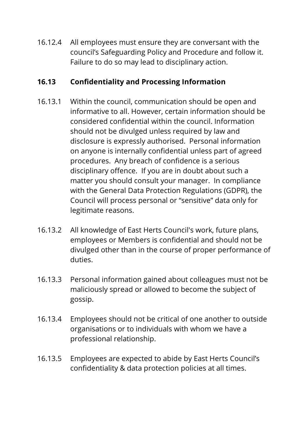16.12.4 All employees must ensure they are conversant with the council's Safeguarding Policy and Procedure and follow it. Failure to do so may lead to disciplinary action.

#### **16.13 Confidentiality and Processing Information**

- 16.13.1 Within the council, communication should be open and informative to all. However, certain information should be considered confidential within the council. Information should not be divulged unless required by law and disclosure is expressly authorised. Personal information on anyone is internally confidential unless part of agreed procedures. Any breach of confidence is a serious disciplinary offence. If you are in doubt about such a matter you should consult your manager. In compliance with the General Data Protection Regulations (GDPR), the Council will process personal or "sensitive" data only for legitimate reasons.
- 16.13.2 All knowledge of East Herts Council's work, future plans, employees or Members is confidential and should not be divulged other than in the course of proper performance of duties.
- 16.13.3 Personal information gained about colleagues must not be maliciously spread or allowed to become the subject of gossip.
- 16.13.4 Employees should not be critical of one another to outside organisations or to individuals with whom we have a professional relationship.
- 16.13.5 Employees are expected to abide by East Herts Council's confidentiality & data protection policies at all times.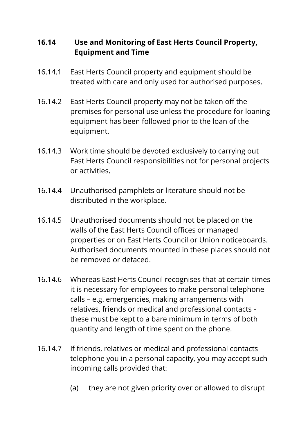#### **16.14 Use and Monitoring of East Herts Council Property, Equipment and Time**

- 16.14.1 East Herts Council property and equipment should be treated with care and only used for authorised purposes.
- 16.14.2 East Herts Council property may not be taken off the premises for personal use unless the procedure for loaning equipment has been followed prior to the loan of the equipment.
- 16.14.3 Work time should be devoted exclusively to carrying out East Herts Council responsibilities not for personal projects or activities.
- 16.14.4 Unauthorised pamphlets or literature should not be distributed in the workplace.
- 16.14.5 Unauthorised documents should not be placed on the walls of the East Herts Council offices or managed properties or on East Herts Council or Union noticeboards. Authorised documents mounted in these places should not be removed or defaced.
- 16.14.6 Whereas East Herts Council recognises that at certain times it is necessary for employees to make personal telephone calls – e.g. emergencies, making arrangements with relatives, friends or medical and professional contacts these must be kept to a bare minimum in terms of both quantity and length of time spent on the phone.
- 16.14.7 If friends, relatives or medical and professional contacts telephone you in a personal capacity, you may accept such incoming calls provided that:
	- (a) they are not given priority over or allowed to disrupt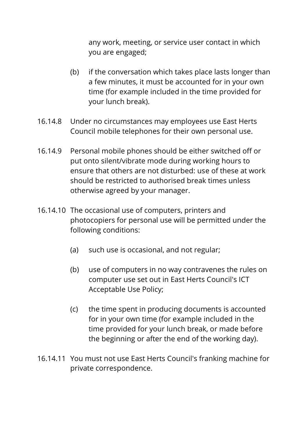any work, meeting, or service user contact in which you are engaged;

- (b) if the conversation which takes place lasts longer than a few minutes, it must be accounted for in your own time (for example included in the time provided for your lunch break).
- 16.14.8 Under no circumstances may employees use East Herts Council mobile telephones for their own personal use.
- 16.14.9 Personal mobile phones should be either switched off or put onto silent/vibrate mode during working hours to ensure that others are not disturbed: use of these at work should be restricted to authorised break times unless otherwise agreed by your manager.
- 16.14.10 The occasional use of computers, printers and photocopiers for personal use will be permitted under the following conditions:
	- (a) such use is occasional, and not regular;
	- (b) use of computers in no way contravenes the rules on computer use set out in East Herts Council's ICT Acceptable Use Policy;
	- (c) the time spent in producing documents is accounted for in your own time (for example included in the time provided for your lunch break, or made before the beginning or after the end of the working day).
- 16.14.11 You must not use East Herts Council's franking machine for private correspondence.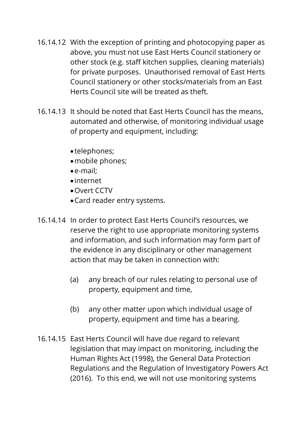- 16.14.12 With the exception of printing and photocopying paper as above, you must not use East Herts Council stationery or other stock (e.g. staff kitchen supplies, cleaning materials) for private purposes. Unauthorised removal of East Herts Council stationery or other stocks/materials from an East Herts Council site will be treated as theft.
- 16.14.13 It should be noted that East Herts Council has the means, automated and otherwise, of monitoring individual usage of property and equipment, including:
	- telephones;
	- mobile phones;
	- e-mail;
	- internet
	- Overt CCTV
	- Card reader entry systems.
- 16.14.14 In order to protect East Herts Council's resources, we reserve the right to use appropriate monitoring systems and information, and such information may form part of the evidence in any disciplinary or other management action that may be taken in connection with:
	- (a) any breach of our rules relating to personal use of property, equipment and time,
	- (b) any other matter upon which individual usage of property, equipment and time has a bearing.
- 16.14.15 East Herts Council will have due regard to relevant legislation that may impact on monitoring, including the Human Rights Act (1998), the General Data Protection Regulations and the Regulation of Investigatory Powers Act (2016). To this end, we will not use monitoring systems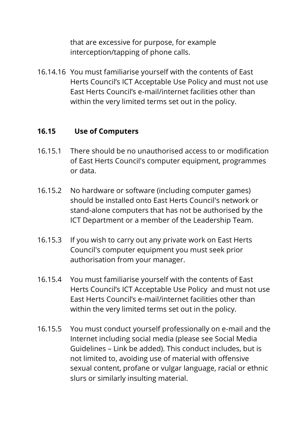that are excessive for purpose, for example interception/tapping of phone calls.

16.14.16 You must familiarise yourself with the contents of East Herts Council's ICT Acceptable Use Policy and must not use East Herts Council's e-mail/internet facilities other than within the very limited terms set out in the policy.

#### **16.15 Use of Computers**

- 16.15.1 There should be no unauthorised access to or modification of East Herts Council's computer equipment, programmes or data.
- 16.15.2 No hardware or software (including computer games) should be installed onto East Herts Council's network or stand-alone computers that has not be authorised by the ICT Department or a member of the Leadership Team.
- 16.15.3 If you wish to carry out any private work on East Herts Council's computer equipment you must seek prior authorisation from your manager.
- 16.15.4 You must familiarise yourself with the contents of East Herts Council's ICT Acceptable Use Policy and must not use East Herts Council's e-mail/internet facilities other than within the very limited terms set out in the policy.
- 16.15.5 You must conduct yourself professionally on e-mail and the Internet including social media (please see Social Media Guidelines – Link be added). This conduct includes, but is not limited to, avoiding use of material with offensive sexual content, profane or vulgar language, racial or ethnic slurs or similarly insulting material.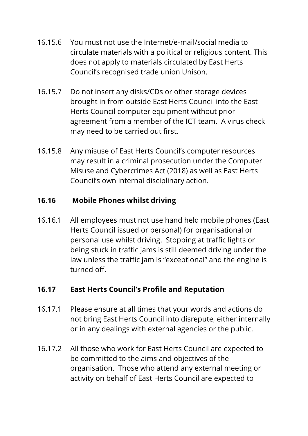- 16.15.6 You must not use the Internet/e-mail/social media to circulate materials with a political or religious content. This does not apply to materials circulated by East Herts Council's recognised trade union Unison.
- 16.15.7 Do not insert any disks/CDs or other storage devices brought in from outside East Herts Council into the East Herts Council computer equipment without prior agreement from a member of the ICT team. A virus check may need to be carried out first.
- 16.15.8 Any misuse of East Herts Council's computer resources may result in a criminal prosecution under the Computer Misuse and Cybercrimes Act (2018) as well as East Herts Council's own internal disciplinary action.

#### **16.16 Mobile Phones whilst driving**

16.16.1 All employees must not use hand held mobile phones (East Herts Council issued or personal) for organisational or personal use whilst driving. Stopping at traffic lights or being stuck in traffic jams is still deemed driving under the law unless the traffic jam is "exceptional" and the engine is turned off.

#### **16.17 East Herts Council's Profile and Reputation**

- 16.17.1 Please ensure at all times that your words and actions do not bring East Herts Council into disrepute, either internally or in any dealings with external agencies or the public.
- 16.17.2 All those who work for East Herts Council are expected to be committed to the aims and objectives of the organisation. Those who attend any external meeting or activity on behalf of East Herts Council are expected to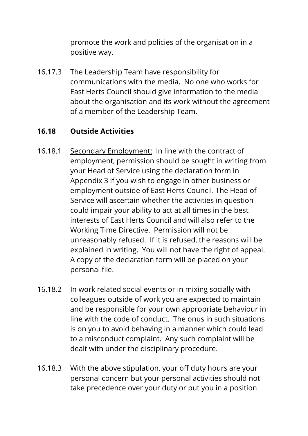promote the work and policies of the organisation in a positive way.

16.17.3 The Leadership Team have responsibility for communications with the media. No one who works for East Herts Council should give information to the media about the organisation and its work without the agreement of a member of the Leadership Team.

#### **16.18 Outside Activities**

- 16.18.1 Secondary Employment: In line with the contract of employment, permission should be sought in writing from your Head of Service using the declaration form in Appendix 3 if you wish to engage in other business or employment outside of East Herts Council. The Head of Service will ascertain whether the activities in question could impair your ability to act at all times in the best interests of East Herts Council and will also refer to the Working Time Directive. Permission will not be unreasonably refused. If it is refused, the reasons will be explained in writing. You will not have the right of appeal. A copy of the declaration form will be placed on your personal file.
- 16.18.2 In work related social events or in mixing socially with colleagues outside of work you are expected to maintain and be responsible for your own appropriate behaviour in line with the code of conduct. The onus in such situations is on you to avoid behaving in a manner which could lead to a misconduct complaint. Any such complaint will be dealt with under the disciplinary procedure.
- 16.18.3 With the above stipulation, your off duty hours are your personal concern but your personal activities should not take precedence over your duty or put you in a position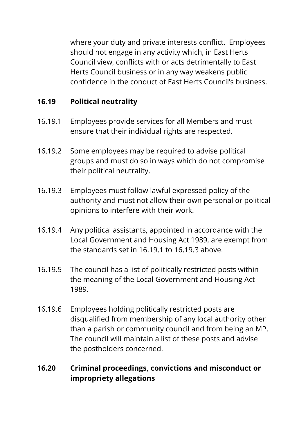where your duty and private interests conflict. Employees should not engage in any activity which, in East Herts Council view, conflicts with or acts detrimentally to East Herts Council business or in any way weakens public confidence in the conduct of East Herts Council's business.

#### **16.19 Political neutrality**

- 16.19.1 Employees provide services for all Members and must ensure that their individual rights are respected.
- 16.19.2 Some employees may be required to advise political groups and must do so in ways which do not compromise their political neutrality.
- 16.19.3 Employees must follow lawful expressed policy of the authority and must not allow their own personal or political opinions to interfere with their work.
- 16.19.4 Any political assistants, appointed in accordance with the Local Government and Housing Act 1989, are exempt from the standards set in 16.19.1 to 16.19.3 above.
- 16.19.5 The council has a list of politically restricted posts within the meaning of the Local Government and Housing Act 1989.
- 16.19.6 Employees holding politically restricted posts are disqualified from membership of any local authority other than a parish or community council and from being an MP. The council will maintain a list of these posts and advise the postholders concerned.

## **16.20 Criminal proceedings, convictions and misconduct or impropriety allegations**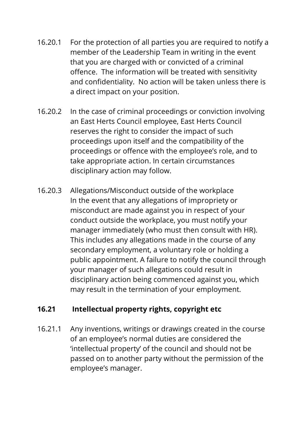- 16.20.1 For the protection of all parties you are required to notify a member of the Leadership Team in writing in the event that you are charged with or convicted of a criminal offence. The information will be treated with sensitivity and confidentiality. No action will be taken unless there is a direct impact on your position.
- 16.20.2 In the case of criminal proceedings or conviction involving an East Herts Council employee, East Herts Council reserves the right to consider the impact of such proceedings upon itself and the compatibility of the proceedings or offence with the employee's role, and to take appropriate action. In certain circumstances disciplinary action may follow.
- 16.20.3 Allegations/Misconduct outside of the workplace In the event that any allegations of impropriety or misconduct are made against you in respect of your conduct outside the workplace, you must notify your manager immediately (who must then consult with HR). This includes any allegations made in the course of any secondary employment, a voluntary role or holding a public appointment. A failure to notify the council through your manager of such allegations could result in disciplinary action being commenced against you, which may result in the termination of your employment.

#### **16.21 Intellectual property rights, copyright etc**

16.21.1 Any inventions, writings or drawings created in the course of an employee's normal duties are considered the 'intellectual property' of the council and should not be passed on to another party without the permission of the employee's manager.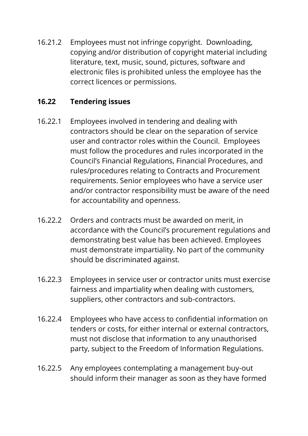16.21.2 Employees must not infringe copyright. Downloading, copying and/or distribution of copyright material including literature, text, music, sound, pictures, software and electronic files is prohibited unless the employee has the correct licences or permissions.

#### **16.22 Tendering issues**

- 16.22.1 Employees involved in tendering and dealing with contractors should be clear on the separation of service user and contractor roles within the Council. Employees must follow the procedures and rules incorporated in the Council's Financial Regulations, Financial Procedures, and rules/procedures relating to Contracts and Procurement requirements. Senior employees who have a service user and/or contractor responsibility must be aware of the need for accountability and openness.
- 16.22.2 Orders and contracts must be awarded on merit, in accordance with the Council's procurement regulations and demonstrating best value has been achieved. Employees must demonstrate impartiality. No part of the community should be discriminated against.
- 16.22.3 Employees in service user or contractor units must exercise fairness and impartiality when dealing with customers, suppliers, other contractors and sub-contractors.
- 16.22.4 Employees who have access to confidential information on tenders or costs, for either internal or external contractors, must not disclose that information to any unauthorised party, subject to the Freedom of Information Regulations.
- 16.22.5 Any employees contemplating a management buy-out should inform their manager as soon as they have formed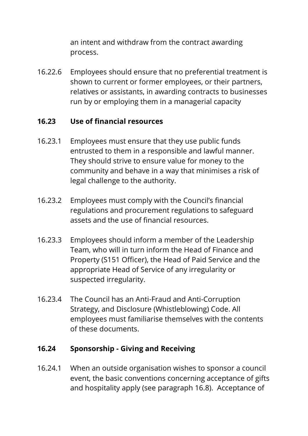an intent and withdraw from the contract awarding process.

16.22.6 Employees should ensure that no preferential treatment is shown to current or former employees, or their partners, relatives or assistants, in awarding contracts to businesses run by or employing them in a managerial capacity

#### **16.23 Use of financial resources**

- 16.23.1 Employees must ensure that they use public funds entrusted to them in a responsible and lawful manner. They should strive to ensure value for money to the community and behave in a way that minimises a risk of legal challenge to the authority.
- 16.23.2 Employees must comply with the Council's financial regulations and procurement regulations to safeguard assets and the use of financial resources.
- 16.23.3 Employees should inform a member of the Leadership Team, who will in turn inform the Head of Finance and Property (S151 Officer), the Head of Paid Service and the appropriate Head of Service of any irregularity or suspected irregularity.
- 16.23.4 The Council has an Anti-Fraud and Anti-Corruption Strategy, and Disclosure (Whistleblowing) Code. All employees must familiarise themselves with the contents of these documents.

#### **16.24 Sponsorship - Giving and Receiving**

16.24.1 When an outside organisation wishes to sponsor a council event, the basic conventions concerning acceptance of gifts and hospitality apply (see paragraph 16.8). Acceptance of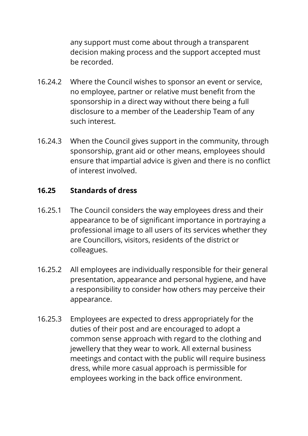any support must come about through a transparent decision making process and the support accepted must be recorded.

- 16.24.2 Where the Council wishes to sponsor an event or service, no employee, partner or relative must benefit from the sponsorship in a direct way without there being a full disclosure to a member of the Leadership Team of any such interest.
- 16.24.3 When the Council gives support in the community, through sponsorship, grant aid or other means, employees should ensure that impartial advice is given and there is no conflict of interest involved.

#### **16.25 Standards of dress**

- 16.25.1 The Council considers the way employees dress and their appearance to be of significant importance in portraying a professional image to all users of its services whether they are Councillors, visitors, residents of the district or colleagues.
- 16.25.2 All employees are individually responsible for their general presentation, appearance and personal hygiene, and have a responsibility to consider how others may perceive their appearance.
- 16.25.3 Employees are expected to dress appropriately for the duties of their post and are encouraged to adopt a common sense approach with regard to the clothing and jewellery that they wear to work. All external business meetings and contact with the public will require business dress, while more casual approach is permissible for employees working in the back office environment.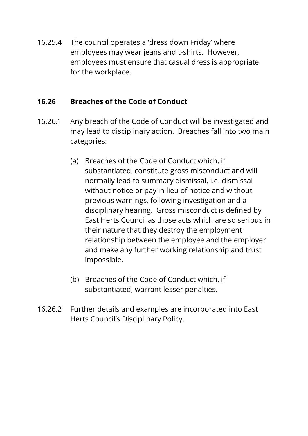16.25.4 The council operates a 'dress down Friday' where employees may wear jeans and t-shirts. However, employees must ensure that casual dress is appropriate for the workplace.

#### **16.26 Breaches of the Code of Conduct**

- 16.26.1 Any breach of the Code of Conduct will be investigated and may lead to disciplinary action. Breaches fall into two main categories:
	- (a) Breaches of the Code of Conduct which, if substantiated, constitute gross misconduct and will normally lead to summary dismissal, i.e. dismissal without notice or pay in lieu of notice and without previous warnings, following investigation and a disciplinary hearing. Gross misconduct is defined by East Herts Council as those acts which are so serious in their nature that they destroy the employment relationship between the employee and the employer and make any further working relationship and trust impossible.
	- (b) Breaches of the Code of Conduct which, if substantiated, warrant lesser penalties.
- 16.26.2 Further details and examples are incorporated into East Herts Council's Disciplinary Policy.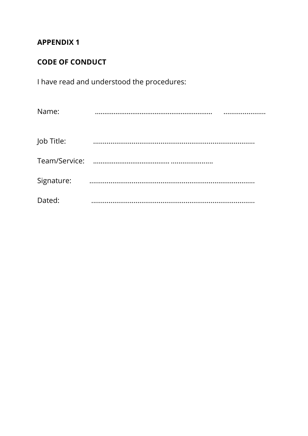#### **APPENDIX 1**

# **CODE OF CONDUCT**

I have read and understood the procedures:

| Name:      |  |
|------------|--|
| Job Title: |  |
|            |  |
| Signature: |  |
| Dated:     |  |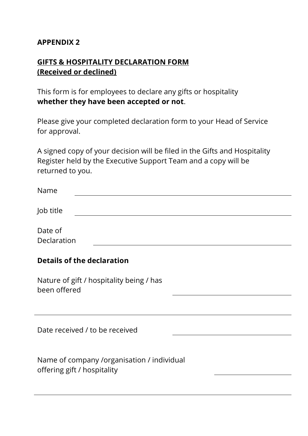#### **APPENDIX 2**

#### **GIFTS & HOSPITALITY DECLARATION FORM (Received or declined)**

This form is for employees to declare any gifts or hospitality **whether they have been accepted or not**.

Please give your completed declaration form to your Head of Service for approval.

A signed copy of your decision will be filed in the Gifts and Hospitality Register held by the Executive Support Team and a copy will be returned to you.

| Name                   |  |  |  |
|------------------------|--|--|--|
| Job title              |  |  |  |
| Date of<br>Declaration |  |  |  |

#### **Details of the declaration**

Nature of gift / hospitality being / has been offered

Date received / to be received

| Name of company /organisation / individual |
|--------------------------------------------|
| offering gift / hospitality                |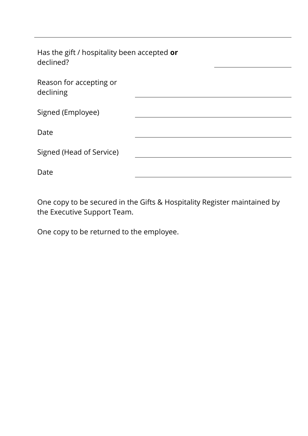| Has the gift / hospitality been accepted or<br>declined? |  |
|----------------------------------------------------------|--|
| Reason for accepting or<br>declining                     |  |
| Signed (Employee)                                        |  |
| Date                                                     |  |
| Signed (Head of Service)                                 |  |
| Date                                                     |  |

One copy to be secured in the Gifts & Hospitality Register maintained by the Executive Support Team.

One copy to be returned to the employee.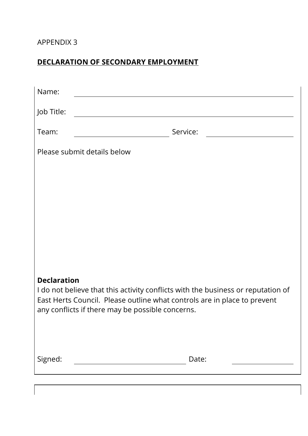#### APPENDIX 3

# **DECLARATION OF SECONDARY EMPLOYMENT**

| Name:                                                                                                                                                        |          |  |  |  |
|--------------------------------------------------------------------------------------------------------------------------------------------------------------|----------|--|--|--|
| Job Title:                                                                                                                                                   |          |  |  |  |
| Team:                                                                                                                                                        | Service: |  |  |  |
| Please submit details below                                                                                                                                  |          |  |  |  |
|                                                                                                                                                              |          |  |  |  |
|                                                                                                                                                              |          |  |  |  |
|                                                                                                                                                              |          |  |  |  |
|                                                                                                                                                              |          |  |  |  |
|                                                                                                                                                              |          |  |  |  |
| <b>Declaration</b>                                                                                                                                           |          |  |  |  |
| I do not believe that this activity conflicts with the business or reputation of<br>East Herts Council. Please outline what controls are in place to prevent |          |  |  |  |
| any conflicts if there may be possible concerns.                                                                                                             |          |  |  |  |
|                                                                                                                                                              |          |  |  |  |
| Signed:                                                                                                                                                      | Date:    |  |  |  |
|                                                                                                                                                              |          |  |  |  |